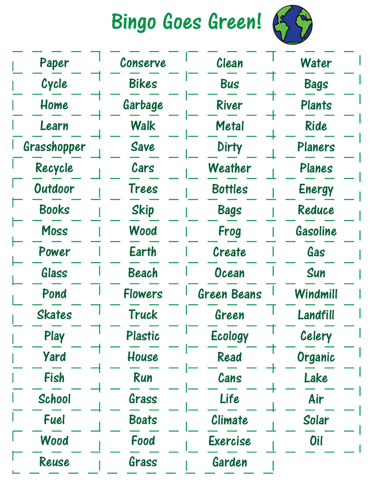Bingo Goes Green!



| Paper         | Conserve     | Clean              |               |
|---------------|--------------|--------------------|---------------|
| Cycle         | Bikes        | <b>Bus</b>         | <b>Bags</b>   |
| Home          | Garbage      | River              | <b>Plants</b> |
| Learn         | <b>Walk</b>  | <b>Metal</b>       | Ride          |
| Grasshopper   | Save         | <b>Dirty</b>       | Planers       |
| Recycle       | Cars         | Weather            | Planes        |
| Outdoor       | Trees        | <b>Bottles</b>     | Energy        |
| <b>Books</b>  | <b>Skip</b>  | <b>Bags</b>        | Reduce        |
| Moss          | Wood         | Frog               | Gasoline      |
| Power         | Earth        | Create             | Gas           |
| Glass         | Beach        | Ocean              | Sun           |
| Pond          | Flowers      | <b>Green Beans</b> | Windmill      |
| <b>Skates</b> | Truck        | Green              | Landfill      |
| Play          | Plastic      | <b>Ecology</b>     | Celery        |
| <b>Yard</b>   | House        | Read               | Organic       |
| Fish          | Run          | Cans               | Lake          |
| School        | Grass        | Life               | Air           |
| Fuel          | <b>Boats</b> | Climate            | Solar         |
| Wood          | Food         | Exercise           | <b>Oil</b>    |
| Reuse         | Grass        | Garden             |               |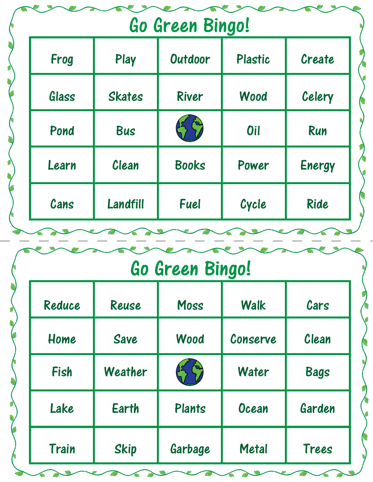| Go Green Bingo! |               |              |            |        |  |
|-----------------|---------------|--------------|------------|--------|--|
| Frog            | Play          | Outdoor      | Plastic    | Create |  |
| Glass           | <b>Skates</b> | River        | Wood       | Celery |  |
| Pond            | <b>Bus</b>    |              | <b>Oil</b> | Run    |  |
| Learn           | Clean         | <b>Books</b> | Power      | Energy |  |
| Cans            | Landfill      | <b>Fuel</b>  | Cycle      | Ride   |  |

## Go Green Bingo!

| Reduce | Reuse        | Moss    | <b>Walk</b>  | Cars        |
|--------|--------------|---------|--------------|-------------|
| Home   | <b>Save</b>  | Wood    | Conserve     | Clean       |
| Fish   | Weather      |         | <b>Water</b> | <b>Bags</b> |
| Lake   | <b>Earth</b> | Plants  | <b>Ocean</b> | Garden      |
| Train  | <b>Skip</b>  | Garbage | <b>Metal</b> | Trees       |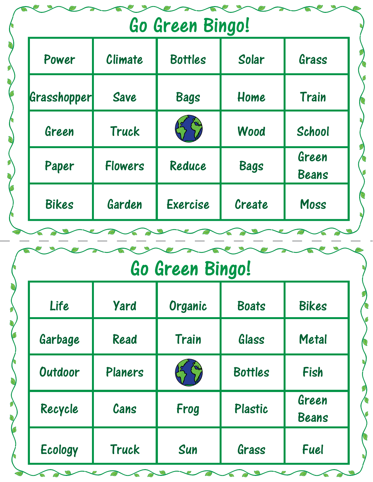| Go Green Bingo! |                |                |             |                       |  |
|-----------------|----------------|----------------|-------------|-----------------------|--|
| Power           | Climate        | <b>Bottles</b> | Solar       | Grass                 |  |
| Grasshopper     | <b>Save</b>    | <b>Bags</b>    | Home        | <b>Train</b>          |  |
| Green           | <b>Truck</b>   |                | Wood        | School                |  |
| Paper           | <b>Flowers</b> | Reduce         | <b>Bags</b> | Green<br><b>Beans</b> |  |
| <b>Bikes</b>    | Garden         | Exercise       | Create      | Moss                  |  |

## Go Green Bingo!

| Life    | <b>Yard</b>  | Organic | <b>Boats</b>   | <b>Bikes</b>          |
|---------|--------------|---------|----------------|-----------------------|
| Garbage | Read         | Train   | Glass          | <b>Metal</b>          |
| Outdoor | Planers      |         | <b>Bottles</b> | Fish                  |
| Recycle | Cans         | Frog    | Plastic        | Green<br><b>Beans</b> |
| Ecology | <b>Truck</b> | Sun     | Grass          | Fuel                  |